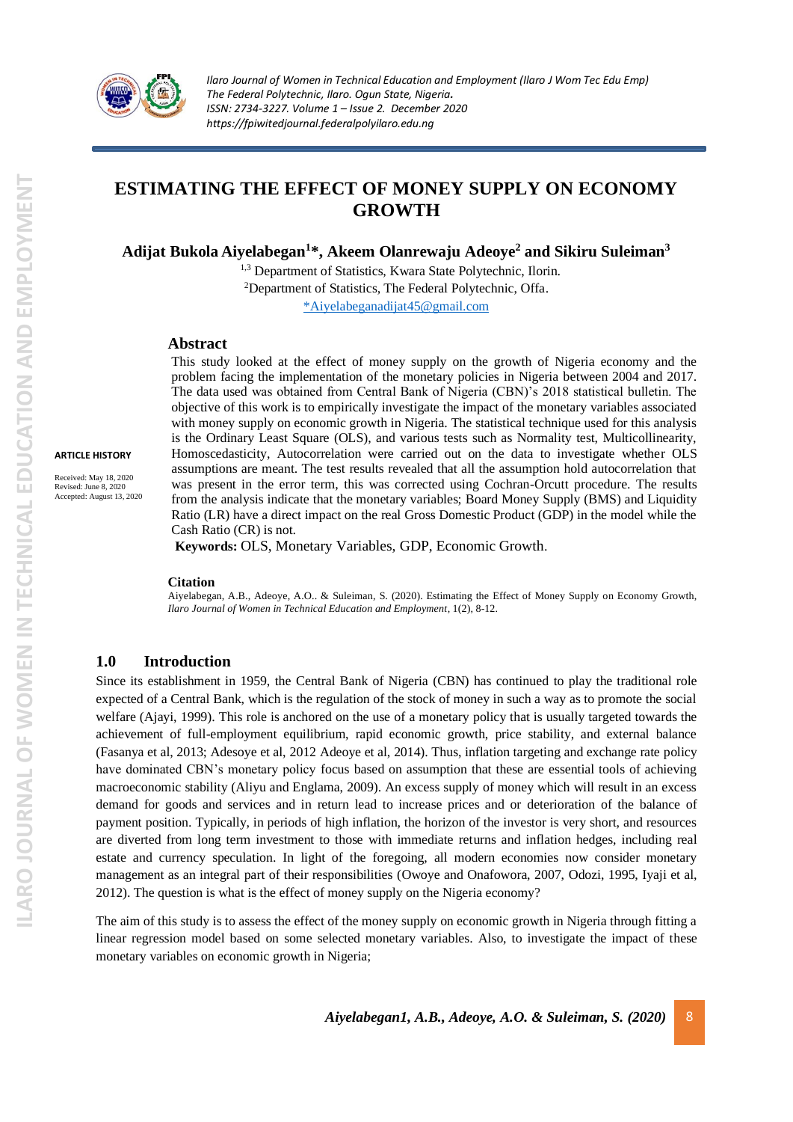

# **ESTIMATING THE EFFECT OF MONEY SUPPLY ON ECONOMY GROWTH**

**Adijat Bukola Aiyelabegan<sup>1</sup> \*, Akeem Olanrewaju Adeoye<sup>2</sup> and Sikiru Suleiman<sup>3</sup>**

<sup>1,3</sup> Department of Statistics, Kwara State Polytechnic, Ilorin. <sup>2</sup>Department of Statistics, The Federal Polytechnic, Offa. [\\*Aiyelabeganadijat45@gmail.com](mailto:*Aiyelabeganadijat45@gmail.com)

#### **Abstract**

This study looked at the effect of money supply on the growth of Nigeria economy and the problem facing the implementation of the monetary policies in Nigeria between 2004 and 2017. The data used was obtained from Central Bank of Nigeria (CBN)'s 2018 statistical bulletin. The objective of this work is to empirically investigate the impact of the monetary variables associated with money supply on economic growth in Nigeria. The statistical technique used for this analysis is the Ordinary Least Square (OLS), and various tests such as Normality test, Multicollinearity, Homoscedasticity, Autocorrelation were carried out on the data to investigate whether OLS assumptions are meant. The test results revealed that all the assumption hold autocorrelation that was present in the error term, this was corrected using Cochran-Orcutt procedure. The results from the analysis indicate that the monetary variables; Board Money Supply (BMS) and Liquidity Ratio (LR) have a direct impact on the real Gross Domestic Product (GDP) in the model while the Cash Ratio (CR) is not.

**Keywords:** OLS, Monetary Variables, GDP, Economic Growth.

#### **Citation**

Aiyelabegan, A.B., Adeoye, A.O.. & Suleiman, S. (2020). Estimating the Effect of Money Supply on Economy Growth, *Ilaro Journal of Women in Technical Education and Employment,* 1(2), 8-12.

### **1.0 Introduction**

Since its establishment in 1959, the Central Bank of Nigeria (CBN) has continued to play the traditional role expected of a Central Bank, which is the regulation of the stock of money in such a way as to promote the social welfare (Ajayi, 1999). This role is anchored on the use of a monetary policy that is usually targeted towards the achievement of full-employment equilibrium, rapid economic growth, price stability, and external balance (Fasanya et al, 2013; Adesoye et al, 2012 Adeoye et al, 2014). Thus, inflation targeting and exchange rate policy have dominated CBN's monetary policy focus based on assumption that these are essential tools of achieving macroeconomic stability (Aliyu and Englama, 2009). An excess supply of money which will result in an excess demand for goods and services and in return lead to increase prices and or deterioration of the balance of payment position. Typically, in periods of high inflation, the horizon of the investor is very short, and resources are diverted from long term investment to those with immediate returns and inflation hedges, including real estate and currency speculation. In light of the foregoing, all modern economies now consider monetary management as an integral part of their responsibilities (Owoye and Onafowora, 2007, Odozi, 1995, Iyaji et al, 2012). The question is what is the effect of money supply on the Nigeria economy?

The aim of this study is to assess the effect of the money supply on economic growth in Nigeria through fitting a linear regression model based on some selected monetary variables. Also, to investigate the impact of these monetary variables on economic growth in Nigeria;

**ARTICLE HISTORY**

Received: May 18, 2020 Revised: June 8, 2020 Accepted: August 13, 2020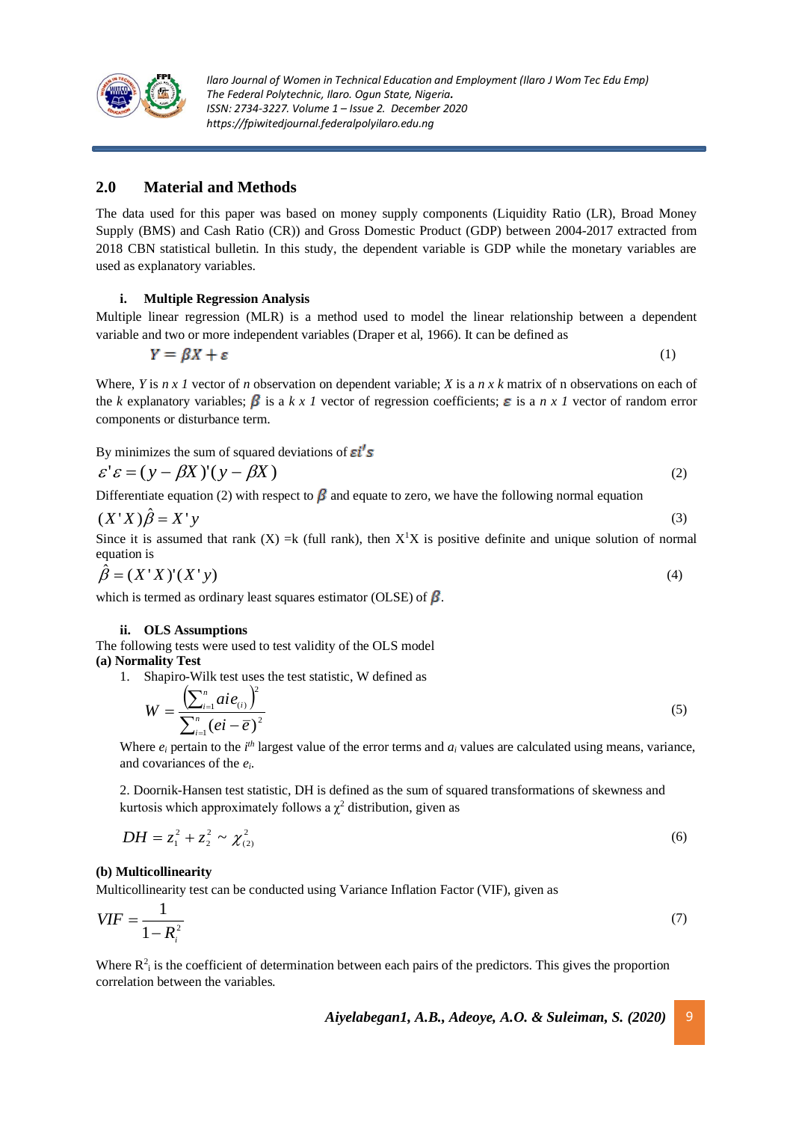

## **2.0 Material and Methods**

The data used for this paper was based on money supply components (Liquidity Ratio (LR), Broad Money Supply (BMS) and Cash Ratio (CR)) and Gross Domestic Product (GDP) between 2004-2017 extracted from 2018 CBN statistical bulletin. In this study, the dependent variable is GDP while the monetary variables are used as explanatory variables.

**i. Multiple Regression Analysis**

Multiple linear regression (MLR) is a method used to model the linear relationship between a dependent variable and two or more independent variables (Draper et al, 1966). It can be defined as

$$
Y = \beta X + \varepsilon \tag{1}
$$

Where, *Y* is *n x 1* vector of *n* observation on dependent variable; *X* is a *n x k* matrix of n observations on each of the *k* explanatory variables;  $\beta$  is a *k x 1* vector of regression coefficients;  $\epsilon$  is a *n x 1* vector of random error components or disturbance term.

By minimizes the sum of squared deviations of  $\boldsymbol{\varepsilon}$ i's

$$
\varepsilon' \varepsilon = (y - \beta X)'(y - \beta X) \tag{2}
$$

Differentiate equation (2) with respect to  $\beta$  and equate to zero, we have the following normal equation

$$
(X'X)\hat{\beta} = X'y
$$
\n(3)  
\nSince it is assumed that rank  $(X)$  -k (full rank) then  $X^{\dagger}X$  is positive definite and unique solution of norm

Since it is assumed that rank  $(X) = k$  (full rank), then  $X<sup>T</sup>X$  is positive definite and unique solution of normal equation is

$$
\hat{\beta} = (X'X)'(X'y) \tag{4}
$$

which is termed as ordinary least squares estimator (OLSE) of  $\beta$ .

#### **ii. OLS Assumptions**

The following tests were used to test validity of the OLS model **(a) Normality Test**

1. Shapiro-Wilk test uses the test statistic, W defined as

$$
W = \frac{\left(\sum_{i=1}^{n} a i e_{(i)}\right)^2}{\sum_{i=1}^{n} (e i - \overline{e})^2}
$$
\n(5)

Where  $e_i$  pertain to the  $i^{th}$  largest value of the error terms and  $a_i$  values are calculated using means, variance, and covariances of the *ei*.

2. Doornik-Hansen test statistic, DH is defined as the sum of squared transformations of skewness and kurtosis which approximately follows a  $\chi^2$  distribution, given as

$$
DH = z_1^2 + z_2^2 \sim \chi_{(2)}^2 \tag{6}
$$

#### **(b) Multicollinearity**

Multicollinearity test can be conducted using Variance Inflation Factor (VIF), given as

$$
VIF = \frac{1}{1 - R_i^2} \tag{7}
$$

Where  $R_1^2$  is the coefficient of determination between each pairs of the predictors. This gives the proportion correlation between the variables.

*Aiyelabegan1, A.B., Adeoye, A.O. & Suleiman, S. (2020)* 9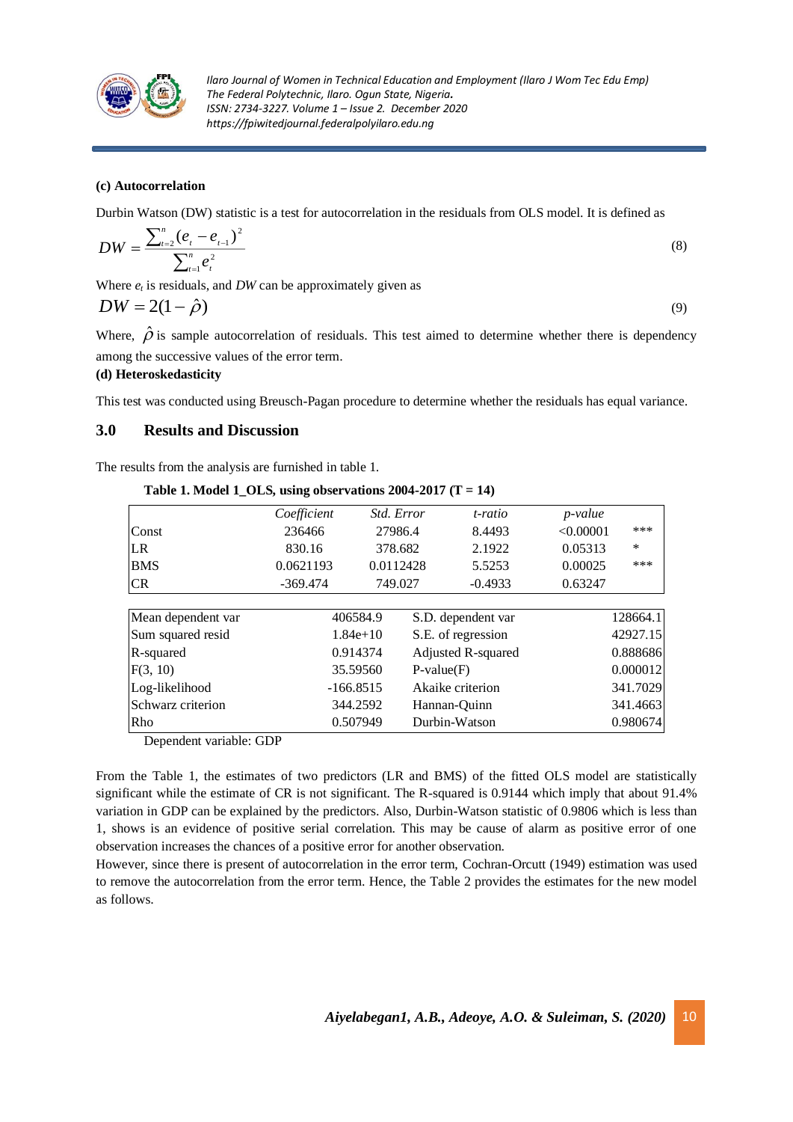

#### **(c) Autocorrelation**

Durbin Watson (DW) statistic is a test for autocorrelation in the residuals from OLS model. It is defined as

$$
DW = \frac{\sum_{i=2}^{n} (e_i - e_{i-1})^2}{\sum_{i=1}^{n} e_i^2}
$$
 (8)

Where  $e_t$  is residuals, and  $DW$  can be approximately given as

$$
DW = 2(1 - \hat{\rho})\tag{9}
$$

Where,  $\hat{\rho}$ is sample autocorrelation of residuals. This test aimed to determine whether there is dependency among the successive values of the error term.

#### **(d) Heteroskedasticity**

This test was conducted using Breusch-Pagan procedure to determine whether the residuals has equal variance.

## **3.0 Results and Discussion**

The results from the analysis are furnished in table 1.

### Table 1. Model 1 OLS, using observations  $2004-2017$  (T = 14)

|                    | Coefficient | <i>Std. Error</i> |              | t-ratio            | <i>p</i> -value |          |
|--------------------|-------------|-------------------|--------------|--------------------|-----------------|----------|
| Const              | 236466      | 27986.4           |              | 8.4493             | < 0.00001       | ***      |
| <b>LR</b>          | 830.16      | 378.682           |              | 2.1922             | 0.05313         | $\ast$   |
| <b>BMS</b>         | 0.0621193   | 0.0112428         |              | 5.5253             | 0.00025         | ***      |
| <b>CR</b>          | $-369.474$  | 749.027           |              | $-0.4933$          | 0.63247         |          |
|                    |             |                   |              |                    |                 |          |
| Mean dependent var |             | 406584.9          |              | S.D. dependent var |                 | 128664.1 |
| Sum squared resid  |             | $1.84e+10$        |              | S.E. of regression |                 | 42927.15 |
| R-squared          |             | 0.914374          |              | Adjusted R-squared |                 | 0.888686 |
| F(3, 10)           | 35.59560    |                   | $P-value(F)$ |                    | 0.000012        |          |
| Log-likelihood     | $-166.8515$ |                   |              | Akaike criterion   | 341.7029        |          |
| Schwarz criterion  | 344.2592    |                   |              | Hannan-Quinn       | 341.4663        |          |
| Rho                |             | 0.507949          |              | Durbin-Watson      |                 | 0.980674 |

Dependent variable: GDP

From the Table 1, the estimates of two predictors (LR and BMS) of the fitted OLS model are statistically significant while the estimate of CR is not significant. The R-squared is 0.9144 which imply that about 91.4% variation in GDP can be explained by the predictors. Also, Durbin-Watson statistic of 0.9806 which is less than 1, shows is an evidence of positive serial correlation. This may be cause of alarm as positive error of one observation increases the chances of a positive error for another observation.

However, since there is present of autocorrelation in the error term, Cochran-Orcutt (1949) estimation was used to remove the autocorrelation from the error term. Hence, the Table 2 provides the estimates for the new model as follows.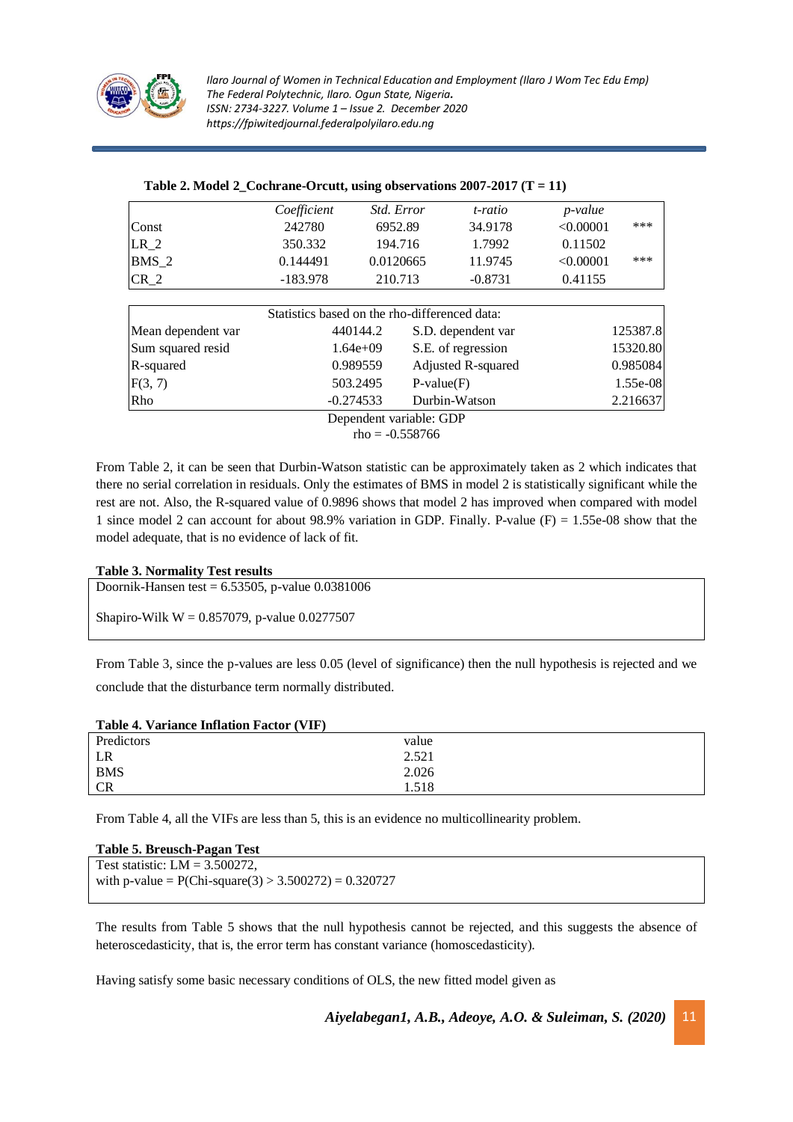

|                    | Coefficient                                   | Std. Error              |                    | t-ratio   | p-value   |     |
|--------------------|-----------------------------------------------|-------------------------|--------------------|-----------|-----------|-----|
| Const              | 242780                                        | 6952.89                 |                    | 34.9178   | < 0.00001 | *** |
| $LR_2$             | 350.332                                       | 194.716                 |                    | 1.7992    | 0.11502   |     |
| $BMS_2$            | 0.144491                                      | 0.0120665               |                    | 11.9745   | < 0.00001 | *** |
| $CR_2$             | $-183.978$                                    | 210.713                 |                    | $-0.8731$ | 0.41155   |     |
|                    |                                               |                         |                    |           |           |     |
|                    | Statistics based on the rho-differenced data: |                         |                    |           |           |     |
| Mean dependent var | 440144.2                                      |                         | S.D. dependent var |           | 125387.8  |     |
| Sum squared resid  | $1.64e+09$                                    |                         | S.E. of regression |           | 15320.80  |     |
| R-squared          | 0.989559                                      |                         | Adjusted R-squared |           | 0.985084  |     |
| F(3, 7)            | 503.2495                                      |                         | $P-value(F)$       |           | 1.55e-08  |     |
| Rho                | $-0.274533$                                   |                         | Durbin-Watson      |           | 2.216637  |     |
|                    |                                               | Dependent variable: GDP |                    |           |           |     |

 $rho = -0.558766$ 

From Table 2, it can be seen that Durbin-Watson statistic can be approximately taken as 2 which indicates that there no serial correlation in residuals. Only the estimates of BMS in model 2 is statistically significant while the rest are not. Also, the R-squared value of 0.9896 shows that model 2 has improved when compared with model 1 since model 2 can account for about 98.9% variation in GDP. Finally. P-value  $(F) = 1.55e-0.08$  show that the model adequate, that is no evidence of lack of fit.

#### **Table 3. Normality Test results**

Doornik-Hansen test = 6.53505, p-value 0.0381006

Shapiro-Wilk W = 0.857079, p-value 0.0277507

From Table 3, since the p-values are less 0.05 (level of significance) then the null hypothesis is rejected and we conclude that the disturbance term normally distributed.

| Table 4. Variance Inflation Factor (VIF) |       |
|------------------------------------------|-------|
| Predictors                               | value |
| LR                                       | 2.521 |
| <b>BMS</b>                               | 2.026 |
| <b>CR</b>                                | 1.518 |

From Table 4, all the VIFs are less than 5, this is an evidence no multicollinearity problem.

| Table 5. Breusch-Pagan Test                             |
|---------------------------------------------------------|
| Test statistic: $LM = 3.500272$ ,                       |
| with p-value = $P(Chi-square(3) > 3.500272) = 0.320727$ |
|                                                         |

The results from Table 5 shows that the null hypothesis cannot be rejected, and this suggests the absence of heteroscedasticity, that is, the error term has constant variance (homoscedasticity).

Having satisfy some basic necessary conditions of OLS, the new fitted model given as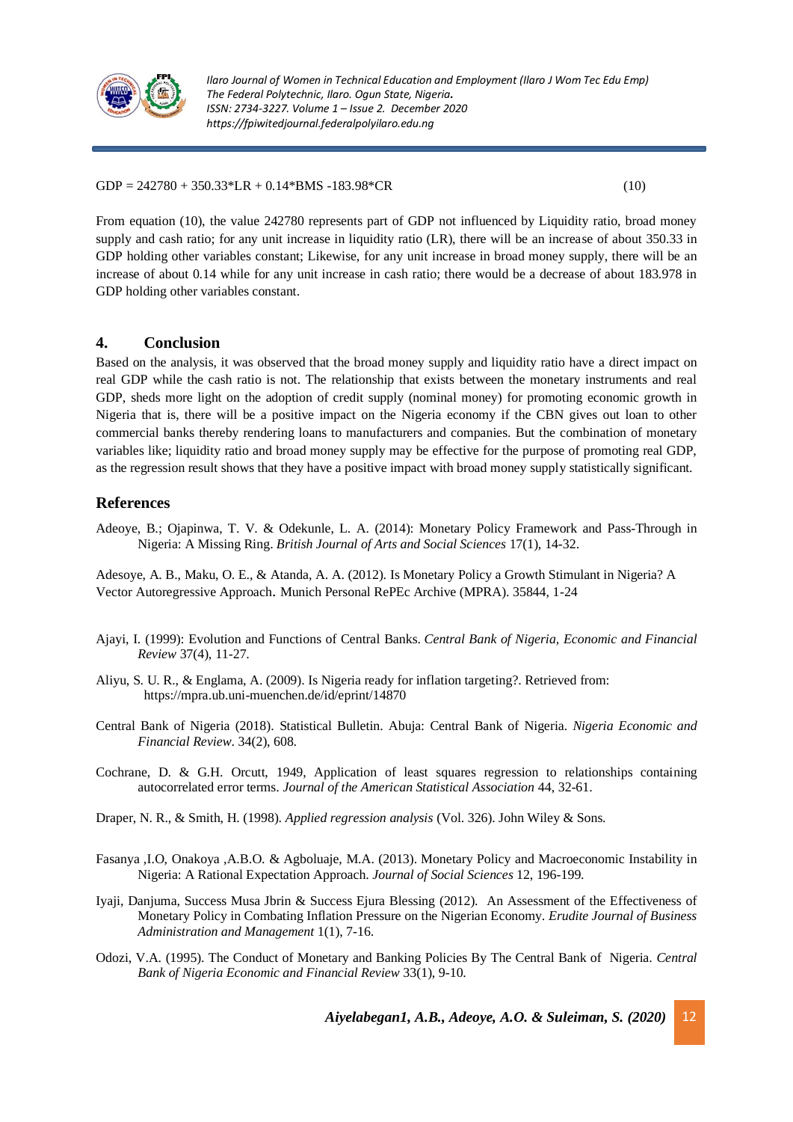

 $GDP = 242780 + 350.33*LR + 0.14*BMS - 183.98*CR$  (10)

From equation (10), the value 242780 represents part of GDP not influenced by Liquidity ratio, broad money supply and cash ratio; for any unit increase in liquidity ratio (LR), there will be an increase of about 350.33 in GDP holding other variables constant; Likewise, for any unit increase in broad money supply, there will be an increase of about 0.14 while for any unit increase in cash ratio; there would be a decrease of about 183.978 in GDP holding other variables constant.

## **4. Conclusion**

Based on the analysis, it was observed that the broad money supply and liquidity ratio have a direct impact on real GDP while the cash ratio is not. The relationship that exists between the monetary instruments and real GDP, sheds more light on the adoption of credit supply (nominal money) for promoting economic growth in Nigeria that is, there will be a positive impact on the Nigeria economy if the CBN gives out loan to other commercial banks thereby rendering loans to manufacturers and companies. But the combination of monetary variables like; liquidity ratio and broad money supply may be effective for the purpose of promoting real GDP, as the regression result shows that they have a positive impact with broad money supply statistically significant.

# **References**

Adeoye, B.; Ojapinwa, T. V. & Odekunle, L. A. (2014): Monetary Policy Framework and Pass-Through in Nigeria: A Missing Ring. *British Journal of Arts and Social Sciences* 17(1), 14-32.

Adesoye, A. B., Maku, O. E., & Atanda, A. A. (2012). Is Monetary Policy a Growth Stimulant in Nigeria? A Vector Autoregressive Approach. Munich Personal RePEc Archive (MPRA). 35844, 1-24

- Ajayi, I. (1999): Evolution and Functions of Central Banks. *Central Bank of Nigeria, Economic and Financial Review* 37(4), 11-27.
- Aliyu, S. U. R., & Englama, A. (2009). Is Nigeria ready for inflation targeting?. Retrieved from: https://mpra.ub.uni-muenchen.de/id/eprint/14870
- Central Bank of Nigeria (2018). Statistical Bulletin. Abuja: Central Bank of Nigeria. *Nigeria Economic and Financial Review*. 34(2), 608.
- Cochrane, D. & G.H. Orcutt, 1949, Application of least squares regression to relationships containing autocorrelated error terms. *Journal of the American Statistical Association* 44, 32-61.
- Draper, N. R., & Smith, H. (1998). *Applied regression analysis* (Vol. 326). John Wiley & Sons.
- Fasanya ,I.O, Onakoya ,A.B.O. & Agboluaje, M.A. (2013). Monetary Policy and Macroeconomic Instability in Nigeria: A Rational Expectation Approach. *Journal of Social Sciences* 12, 196-199.
- Iyaji, Danjuma, Success Musa Jbrin & Success Ejura Blessing (2012). An Assessment of the Effectiveness of Monetary Policy in Combating Inflation Pressure on the Nigerian Economy. *Erudite Journal of Business Administration and Management* 1(1), 7-16.
- Odozi, V.A. (1995). The Conduct of Monetary and Banking Policies By The Central Bank of Nigeria*. Central Bank of Nigeria Economic and Financial Review* 33(1), 9-10.